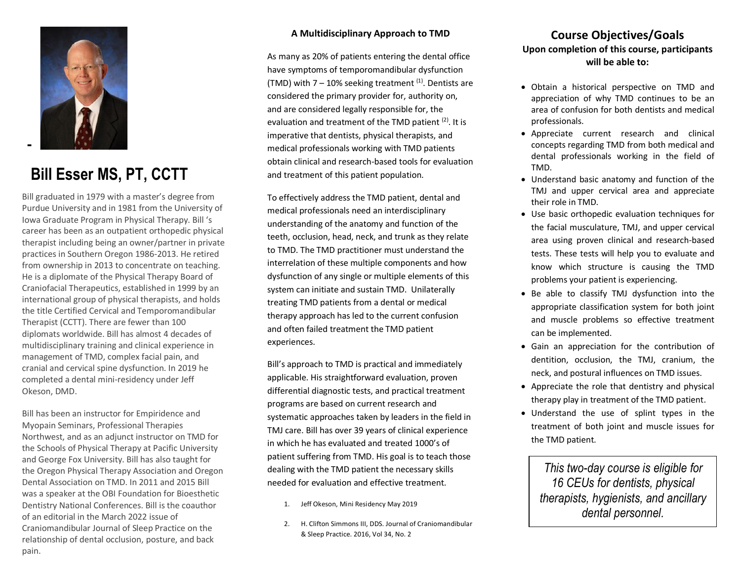

## **Bill Esser MS, PT, CCTT**

Bill graduated in 1979 with a master's degree from Purdue University and in 1981 from the University of Iowa Graduate Program in Physical Therapy. Bill 's career has been as an outpatient orthopedic physical therapist including being an owner/partner in private practices in Southern Oregon 1986-2013. He retired from ownership in 2013 to concentrate on teaching. He is a diplomate of the Physical Therapy Board of Craniofacial Therapeutics, established in 1999 by an international group of physical therapists, and holds the title Certified Cervical and Temporomandibular Therapist (CCTT). There are fewer than 100 diplomats worldwide. Bill has almost 4 decades of multidisciplinary training and clinical experience in management of TMD, complex facial pain, and cranial and cervical spine dysfunction. In 2019 he completed a dental mini-residency under Jeff Okeson, DMD.

Bill has been an instructor for Empiridence and Myopain Seminars, Professional Therapies Northwest, and as an adjunct instructor on TMD for the Schools of Physical Therapy at Pacific University and George Fox University. Bill has also taught for the Oregon Physical Therapy Association and Oregon Dental Association on TMD. In 2011 and 2015 Bill was a speaker at the OBI Foundation for Bioesthetic Dentistry National Conferences. Bill is the coauthor of an editorial in the March 2022 issue of Craniomandibular Journal of Sleep Practice on the relationship of dental occlusion, posture, and back pain.

#### **A Multidisciplinary Approach to TMD**

As many as 20% of patients entering the dental office have symptoms of temporomandibular dysfunction (TMD) with  $7 - 10\%$  seeking treatment  $(1)$ . Dentists are considered the primary provider for, authority on, and are considered legally responsible for, the evaluation and treatment of the TMD patient <sup>(2)</sup>. It is imperative that dentists, physical therapists, and medical professionals working with TMD patients obtain clinical and research-based tools for evaluation and treatment of this patient population.

To effectively address the TMD patient, dental and medical professionals need an interdisciplinary understanding of the anatomy and function of the teeth, occlusion, head, neck, and trunk as they relate to TMD. The TMD practitioner must understand the interrelation of these multiple components and how dysfunction of any single or multiple elements of this system can initiate and sustain TMD. Unilaterally treating TMD patients from a dental or medical therapy approach has led to the current confusion and often failed treatment the TMD patient experiences.

Bill's approach to TMD is practical and immediately applicable. His straightforward evaluation, proven differential diagnostic tests, and practical treatment programs are based on current research and systematic approaches taken by leaders in the field in TMJ care. Bill has over 39 years of clinical experience in which he has evaluated and treated 1000's of patient suffering from TMD. His goal is to teach those dealing with the TMD patient the necessary skills needed for evaluation and effective treatment.

- 1. Jeff Okeson, Mini Residency May 2019
- 2. H. Clifton Simmons III, DDS. Journal of Craniomandibular & Sleep Practice. 2016, Vol 34, No. 2

### **Course Objectives/Goals Upon completion of this course, participants will be able to:**

- Obtain a historical perspective on TMD and appreciation of why TMD continues to be an area of confusion for both dentists and medical professionals.
- Appreciate current research and clinical concepts regarding TMD from both medical and dental professionals working in the field of TMD.
- Understand basic anatomy and function of the TMJ and upper cervical area and appreciate their role in TMD.
- Use basic orthopedic evaluation techniques for the facial musculature, TMJ, and upper cervical area using proven clinical and research-based tests. These tests will help you to evaluate and know which structure is causing the TMD problems your patient is experiencing.
- Be able to classify TMJ dysfunction into the appropriate classification system for both joint and muscle problems so effective treatment can be implemented.
- Gain an appreciation for the contribution of dentition, occlusion, the TMJ, cranium, the neck, and postural influences on TMD issues.
- Appreciate the role that dentistry and physical therapy play in treatment of the TMD patient.
- Understand the use of splint types in the treatment of both joint and muscle issues for the TMD patient.

*This two-day course is eligible for 16 CEUs for dentists, physical therapists, hygienists, and ancillary dental personnel.*